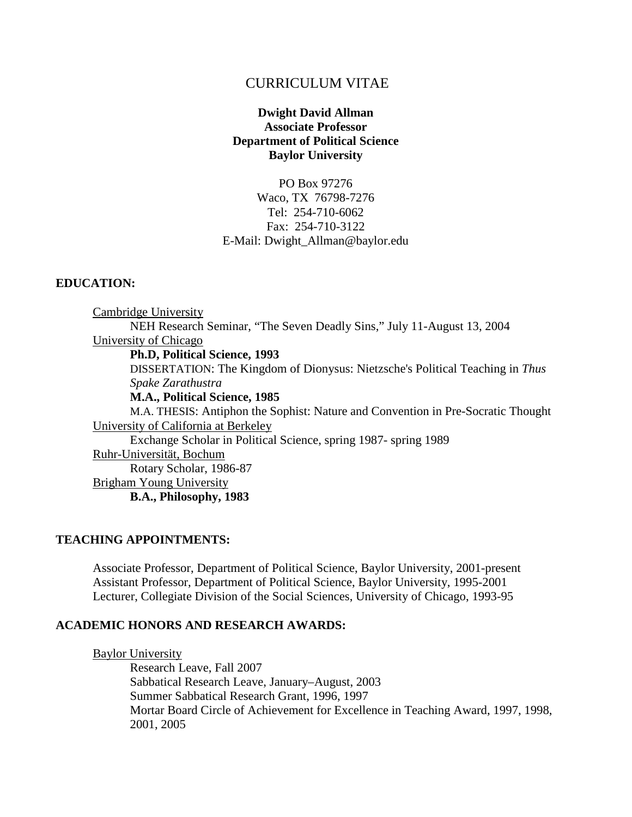# CURRICULUM VITAE

## **Dwight David Allman Associate Professor Department of Political Science Baylor University**

PO Box 97276 Waco, TX 76798-7276 Tel: 254-710-6062 Fax: 254-710-3122 E-Mail: Dwight\_Allman@baylor.edu

## **EDUCATION:**

Cambridge University NEH Research Seminar, "The Seven Deadly Sins," July 11-August 13, 2004 University of Chicago **Ph.D, Political Science, 1993**  DISSERTATION: The Kingdom of Dionysus: Nietzsche's Political Teaching in *Thus Spake Zarathustra* **M.A., Political Science, 1985** M.A. THESIS: Antiphon the Sophist: Nature and Convention in Pre-Socratic Thought University of California at Berkeley

Exchange Scholar in Political Science, spring 1987- spring 1989 Ruhr-Universität, Bochum Rotary Scholar, 1986-87 Brigham Young University

**B.A., Philosophy, 1983**

## **TEACHING APPOINTMENTS:**

Associate Professor, Department of Political Science, Baylor University, 2001-present Assistant Professor, Department of Political Science, Baylor University, 1995-2001 Lecturer, Collegiate Division of the Social Sciences, University of Chicago, 1993-95

## **ACADEMIC HONORS AND RESEARCH AWARDS:**

Baylor University

Research Leave, Fall 2007 Sabbatical Research Leave, January–August, 2003 Summer Sabbatical Research Grant, 1996, 1997 Mortar Board Circle of Achievement for Excellence in Teaching Award, 1997, 1998, 2001, 2005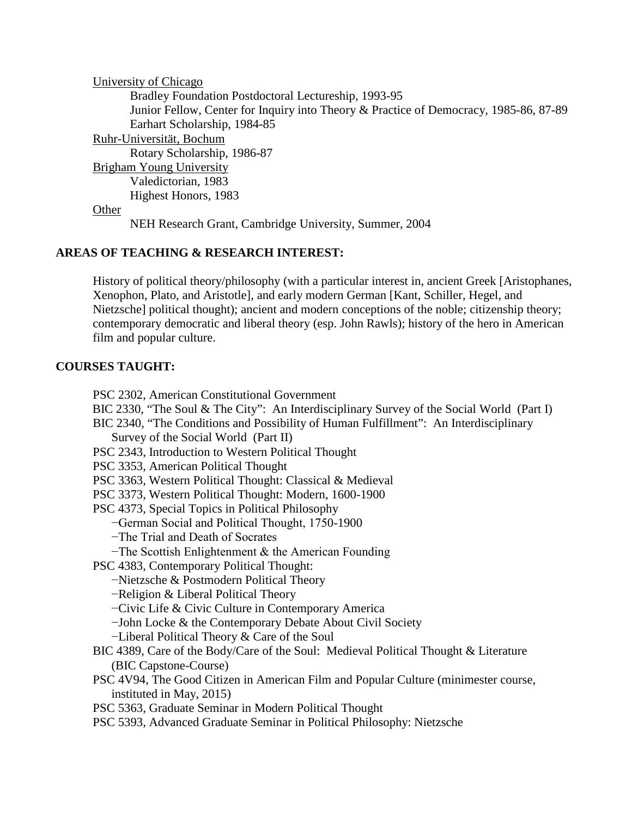University of Chicago Bradley Foundation Postdoctoral Lectureship, 1993-95 Junior Fellow, Center for Inquiry into Theory & Practice of Democracy, 1985-86, 87-89 Earhart Scholarship, 1984-85 Ruhr-Universität, Bochum Rotary Scholarship, 1986-87 Brigham Young University Valedictorian, 1983 Highest Honors, 1983 **Other** NEH Research Grant, Cambridge University, Summer, 2004

# **AREAS OF TEACHING & RESEARCH INTEREST:**

History of political theory/philosophy (with a particular interest in, ancient Greek [Aristophanes, Xenophon, Plato, and Aristotle], and early modern German [Kant, Schiller, Hegel, and Nietzsche] political thought); ancient and modern conceptions of the noble; citizenship theory; contemporary democratic and liberal theory (esp. John Rawls); history of the hero in American film and popular culture.

# **COURSES TAUGHT:**

PSC 2302, American Constitutional Government

- BIC 2330, "The Soul & The City": An Interdisciplinary Survey of the Social World (Part I)
- BIC 2340, "The Conditions and Possibility of Human Fulfillment": An Interdisciplinary Survey of the Social World (Part II)
- PSC 2343, Introduction to Western Political Thought
- PSC 3353, American Political Thought
- PSC 3363, Western Political Thought: Classical & Medieval
- PSC 3373, Western Political Thought: Modern, 1600-1900
- PSC 4373, Special Topics in Political Philosophy
	- −German Social and Political Thought, 1750-1900
	- −The Trial and Death of Socrates
	- −The Scottish Enlightenment & the American Founding
- PSC 4383, Contemporary Political Thought:
	- −Nietzsche & Postmodern Political Theory
	- −Religion & Liberal Political Theory
	- −Civic Life & Civic Culture in Contemporary America
	- −John Locke & the Contemporary Debate About Civil Society
	- −Liberal Political Theory & Care of the Soul
- BIC 4389, Care of the Body/Care of the Soul: Medieval Political Thought & Literature (BIC Capstone-Course)
- PSC 4V94, The Good Citizen in American Film and Popular Culture (minimester course, instituted in May, 2015)
- PSC 5363, Graduate Seminar in Modern Political Thought
- PSC 5393, Advanced Graduate Seminar in Political Philosophy: Nietzsche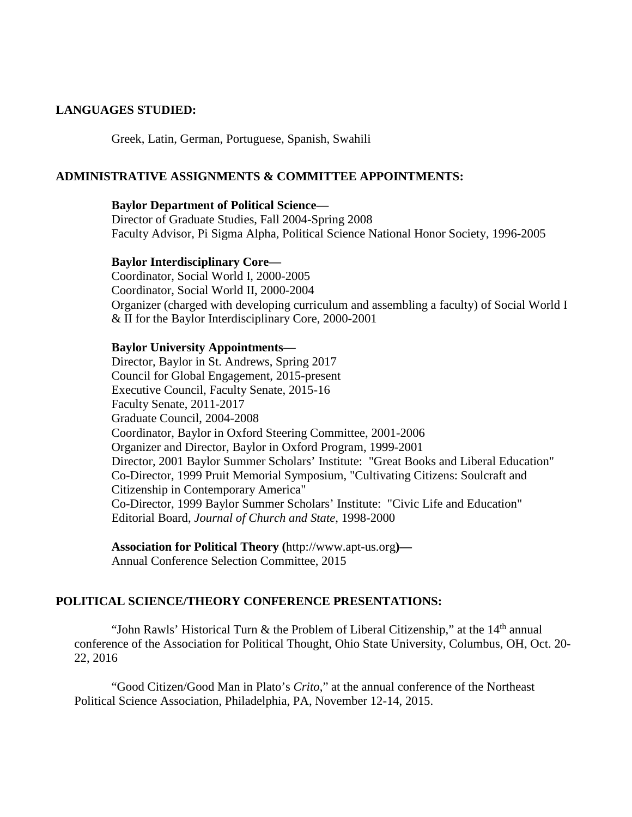## **LANGUAGES STUDIED:**

Greek, Latin, German, Portuguese, Spanish, Swahili

### **ADMINISTRATIVE ASSIGNMENTS & COMMITTEE APPOINTMENTS:**

#### **Baylor Department of Political Science—**

Director of Graduate Studies, Fall 2004-Spring 2008 Faculty Advisor, Pi Sigma Alpha, Political Science National Honor Society, 1996-2005

#### **Baylor Interdisciplinary Core—**

Coordinator, Social World I, 2000-2005 Coordinator, Social World II, 2000-2004 Organizer (charged with developing curriculum and assembling a faculty) of Social World I & II for the Baylor Interdisciplinary Core, 2000-2001

#### **Baylor University Appointments—**

Director, Baylor in St. Andrews, Spring 2017 Council for Global Engagement, 2015-present Executive Council, Faculty Senate, 2015-16 Faculty Senate, 2011-2017 Graduate Council, 2004-2008 Coordinator, Baylor in Oxford Steering Committee, 2001-2006 Organizer and Director, Baylor in Oxford Program, 1999-2001 Director, 2001 Baylor Summer Scholars' Institute: "Great Books and Liberal Education" Co-Director, 1999 Pruit Memorial Symposium, "Cultivating Citizens: Soulcraft and Citizenship in Contemporary America" Co-Director, 1999 Baylor Summer Scholars' Institute: "Civic Life and Education" Editorial Board, *Journal of Church and State*, 1998-2000

**Association for Political Theory (**http://www.apt-us.org**)—** Annual Conference Selection Committee, 2015

## **POLITICAL SCIENCE/THEORY CONFERENCE PRESENTATIONS:**

"John Rawls' Historical Turn & the Problem of Liberal Citizenship," at the  $14<sup>th</sup>$  annual conference of the Association for Political Thought, Ohio State University, Columbus, OH, Oct. 20- 22, 2016

"Good Citizen/Good Man in Plato's *Crito*," at the annual conference of the Northeast Political Science Association, Philadelphia, PA, November 12-14, 2015.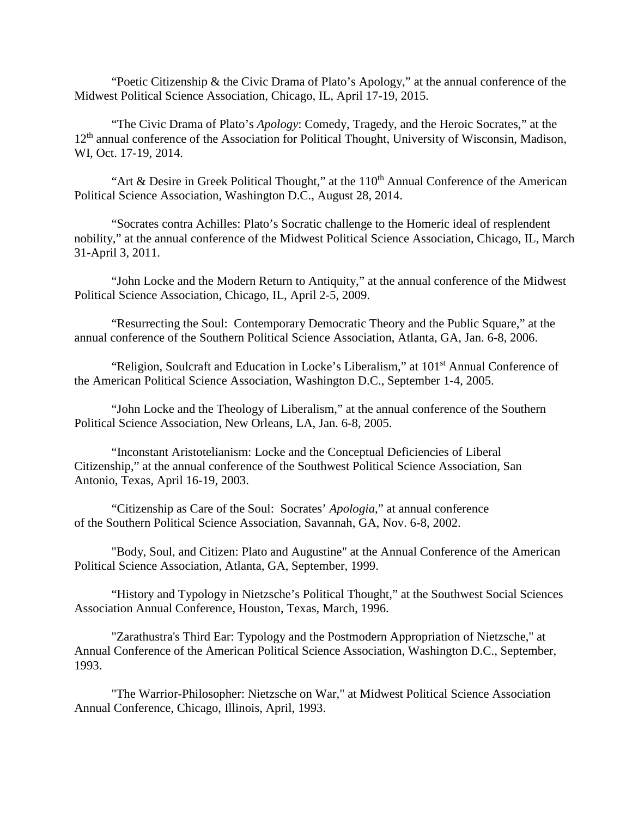"Poetic Citizenship & the Civic Drama of Plato's Apology," at the annual conference of the Midwest Political Science Association, Chicago, IL, April 17-19, 2015.

"The Civic Drama of Plato's *Apology*: Comedy, Tragedy, and the Heroic Socrates," at the 12<sup>th</sup> annual conference of the Association for Political Thought, University of Wisconsin, Madison, WI, Oct. 17-19, 2014.

"Art & Desire in Greek Political Thought," at the  $110<sup>th</sup>$  Annual Conference of the American Political Science Association, Washington D.C., August 28, 2014.

"Socrates contra Achilles: Plato's Socratic challenge to the Homeric ideal of resplendent nobility," at the annual conference of the Midwest Political Science Association, Chicago, IL, March 31-April 3, 2011.

"John Locke and the Modern Return to Antiquity," at the annual conference of the Midwest Political Science Association, Chicago, IL, April 2-5, 2009.

"Resurrecting the Soul: Contemporary Democratic Theory and the Public Square," at the annual conference of the Southern Political Science Association, Atlanta, GA, Jan. 6-8, 2006.

"Religion, Soulcraft and Education in Locke's Liberalism," at 101<sup>st</sup> Annual Conference of the American Political Science Association, Washington D.C., September 1-4, 2005.

"John Locke and the Theology of Liberalism," at the annual conference of the Southern Political Science Association, New Orleans, LA, Jan. 6-8, 2005.

"Inconstant Aristotelianism: Locke and the Conceptual Deficiencies of Liberal Citizenship," at the annual conference of the Southwest Political Science Association, San Antonio, Texas, April 16-19, 2003.

"Citizenship as Care of the Soul: Socrates' *Apologia*," at annual conference of the Southern Political Science Association, Savannah, GA, Nov. 6-8, 2002.

"Body, Soul, and Citizen: Plato and Augustine" at the Annual Conference of the American Political Science Association, Atlanta, GA, September, 1999.

"History and Typology in Nietzsche's Political Thought," at the Southwest Social Sciences Association Annual Conference, Houston, Texas, March, 1996.

"Zarathustra's Third Ear: Typology and the Postmodern Appropriation of Nietzsche," at Annual Conference of the American Political Science Association, Washington D.C., September, 1993.

"The Warrior-Philosopher: Nietzsche on War," at Midwest Political Science Association Annual Conference, Chicago, Illinois, April, 1993.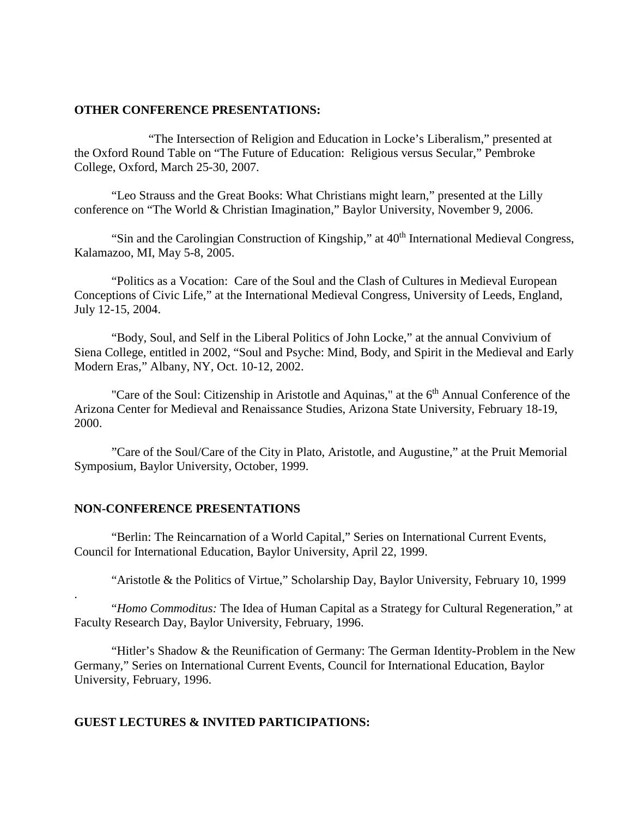#### **OTHER CONFERENCE PRESENTATIONS:**

"The Intersection of Religion and Education in Locke's Liberalism," presented at the Oxford Round Table on "The Future of Education: Religious versus Secular," Pembroke College, Oxford, March 25-30, 2007.

"Leo Strauss and the Great Books: What Christians might learn," presented at the Lilly conference on "The World & Christian Imagination," Baylor University, November 9, 2006.

"Sin and the Carolingian Construction of Kingship," at 40<sup>th</sup> International Medieval Congress, Kalamazoo, MI, May 5-8, 2005.

"Politics as a Vocation: Care of the Soul and the Clash of Cultures in Medieval European Conceptions of Civic Life," at the International Medieval Congress, University of Leeds, England, July 12-15, 2004.

"Body, Soul, and Self in the Liberal Politics of John Locke," at the annual Convivium of Siena College, entitled in 2002, "Soul and Psyche: Mind, Body, and Spirit in the Medieval and Early Modern Eras," Albany, NY, Oct. 10-12, 2002.

"Care of the Soul: Citizenship in Aristotle and Aquinas," at the 6<sup>th</sup> Annual Conference of the Arizona Center for Medieval and Renaissance Studies, Arizona State University, February 18-19, 2000.

"Care of the Soul/Care of the City in Plato, Aristotle, and Augustine," at the Pruit Memorial Symposium, Baylor University, October, 1999.

#### **NON-CONFERENCE PRESENTATIONS**

.

"Berlin: The Reincarnation of a World Capital," Series on International Current Events, Council for International Education, Baylor University, April 22, 1999.

"Aristotle & the Politics of Virtue," Scholarship Day, Baylor University, February 10, 1999

"*Homo Commoditus:* The Idea of Human Capital as a Strategy for Cultural Regeneration," at Faculty Research Day, Baylor University, February, 1996.

"Hitler's Shadow & the Reunification of Germany: The German Identity-Problem in the New Germany," Series on International Current Events, Council for International Education, Baylor University, February, 1996.

## **GUEST LECTURES & INVITED PARTICIPATIONS:**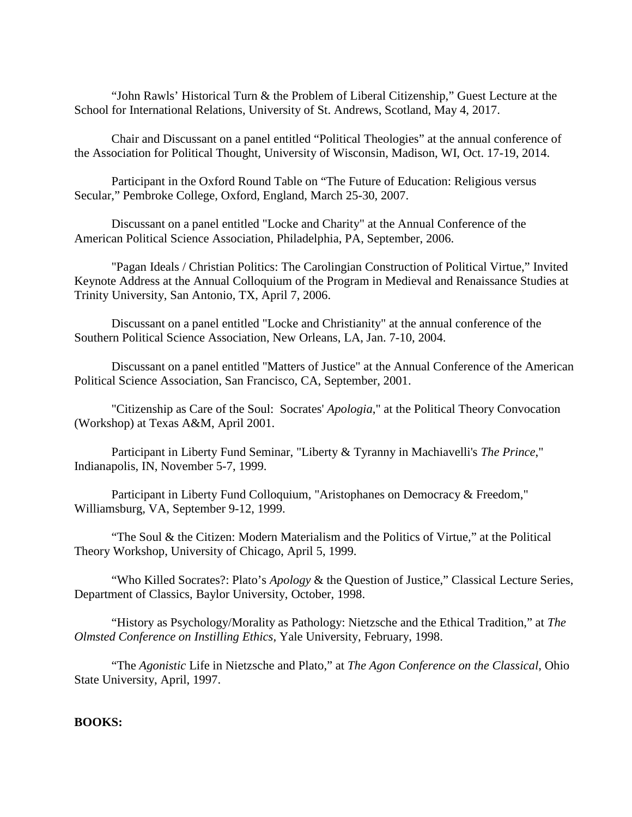"John Rawls' Historical Turn & the Problem of Liberal Citizenship," Guest Lecture at the School for International Relations, University of St. Andrews, Scotland, May 4, 2017.

Chair and Discussant on a panel entitled "Political Theologies" at the annual conference of the Association for Political Thought, University of Wisconsin, Madison, WI, Oct. 17-19, 2014.

Participant in the Oxford Round Table on "The Future of Education: Religious versus Secular," Pembroke College, Oxford, England, March 25-30, 2007.

Discussant on a panel entitled "Locke and Charity" at the Annual Conference of the American Political Science Association, Philadelphia, PA, September, 2006.

"Pagan Ideals / Christian Politics: The Carolingian Construction of Political Virtue," Invited Keynote Address at the Annual Colloquium of the Program in Medieval and Renaissance Studies at Trinity University, San Antonio, TX, April 7, 2006.

Discussant on a panel entitled "Locke and Christianity" at the annual conference of the Southern Political Science Association, New Orleans, LA, Jan. 7-10, 2004.

Discussant on a panel entitled "Matters of Justice" at the Annual Conference of the American Political Science Association, San Francisco, CA, September, 2001.

"Citizenship as Care of the Soul: Socrates' *Apologia*," at the Political Theory Convocation (Workshop) at Texas A&M, April 2001.

Participant in Liberty Fund Seminar, "Liberty & Tyranny in Machiavelli's *The Prince*," Indianapolis, IN, November 5-7, 1999.

Participant in Liberty Fund Colloquium, "Aristophanes on Democracy & Freedom," Williamsburg, VA, September 9-12, 1999.

"The Soul & the Citizen: Modern Materialism and the Politics of Virtue," at the Political Theory Workshop, University of Chicago, April 5, 1999.

"Who Killed Socrates?: Plato's *Apology* & the Question of Justice," Classical Lecture Series, Department of Classics, Baylor University, October, 1998.

"History as Psychology/Morality as Pathology: Nietzsche and the Ethical Tradition," at *The Olmsted Conference on Instilling Ethics*, Yale University, February, 1998.

"The *Agonistic* Life in Nietzsche and Plato," at *The Agon Conference on the Classical*, Ohio State University, April, 1997.

## **BOOKS:**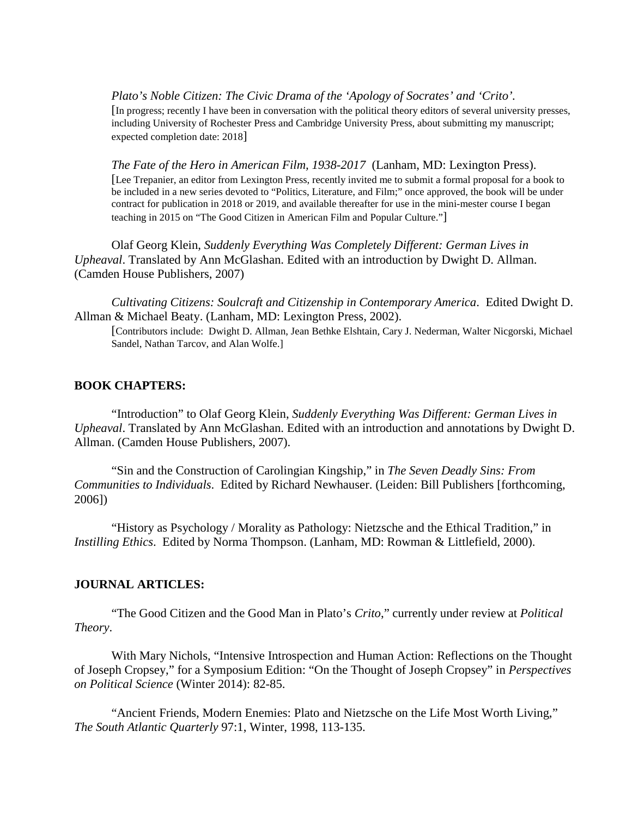*Plato's Noble Citizen: The Civic Drama of the 'Apology of Socrates' and 'Crito'.*  [In progress; recently I have been in conversation with the political theory editors of several university presses, including University of Rochester Press and Cambridge University Press, about submitting my manuscript; expected completion date: 2018]

*The Fate of the Hero in American Film, 1938-2017* (Lanham, MD: Lexington Press).

[Lee Trepanier, an editor from Lexington Press, recently invited me to submit a formal proposal for a book to be included in a new series devoted to "Politics, Literature, and Film;" once approved, the book will be under contract for publication in 2018 or 2019, and available thereafter for use in the mini-mester course I began teaching in 2015 on "The Good Citizen in American Film and Popular Culture."]

Olaf Georg Klein, *Suddenly Everything Was Completely Different: German Lives in Upheaval*. Translated by Ann McGlashan. Edited with an introduction by Dwight D. Allman. (Camden House Publishers, 2007)

*Cultivating Citizens: Soulcraft and Citizenship in Contemporary America*. Edited Dwight D. Allman & Michael Beaty. (Lanham, MD: Lexington Press, 2002).

[Contributors include: Dwight D. Allman, Jean Bethke Elshtain, Cary J. Nederman, Walter Nicgorski, Michael Sandel, Nathan Tarcov, and Alan Wolfe.]

#### **BOOK CHAPTERS:**

"Introduction" to Olaf Georg Klein, *Suddenly Everything Was Different: German Lives in Upheaval*. Translated by Ann McGlashan. Edited with an introduction and annotations by Dwight D. Allman. (Camden House Publishers, 2007).

"Sin and the Construction of Carolingian Kingship," in *The Seven Deadly Sins: From Communities to Individuals*. Edited by Richard Newhauser. (Leiden: Bill Publishers [forthcoming, 2006])

"History as Psychology / Morality as Pathology: Nietzsche and the Ethical Tradition," in *Instilling Ethics*. Edited by Norma Thompson. (Lanham, MD: Rowman & Littlefield, 2000).

### **JOURNAL ARTICLES:**

"The Good Citizen and the Good Man in Plato's *Crito*," currently under review at *Political Theory*.

With Mary Nichols, "Intensive Introspection and Human Action: Reflections on the Thought of Joseph Cropsey," for a Symposium Edition: "On the Thought of Joseph Cropsey" in *Perspectives on Political Science* (Winter 2014): 82-85.

"Ancient Friends, Modern Enemies: Plato and Nietzsche on the Life Most Worth Living," *The South Atlantic Quarterly* 97:1, Winter, 1998, 113-135.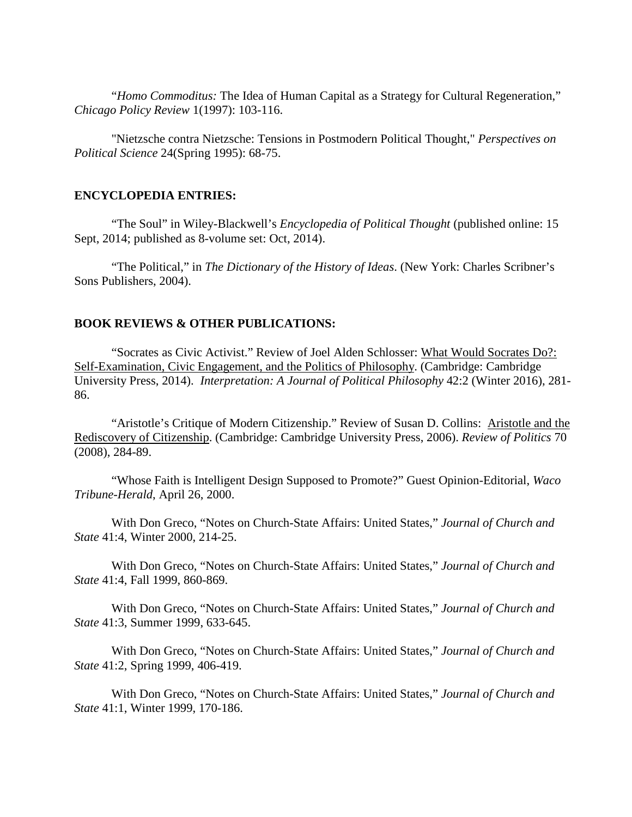"*Homo Commoditus:* The Idea of Human Capital as a Strategy for Cultural Regeneration," *Chicago Policy Review* 1(1997): 103-116.

"Nietzsche contra Nietzsche: Tensions in Postmodern Political Thought," *Perspectives on Political Science* 24(Spring 1995): 68-75.

#### **ENCYCLOPEDIA ENTRIES:**

"The Soul" in Wiley-Blackwell's *Encyclopedia of Political Thought* (published online: 15 Sept, 2014; published as 8-volume set: Oct, 2014).

"The Political," in *The Dictionary of the History of Ideas*. (New York: Charles Scribner's Sons Publishers, 2004).

#### **BOOK REVIEWS & OTHER PUBLICATIONS:**

"Socrates as Civic Activist." Review of Joel Alden Schlosser: What Would Socrates Do?: Self-Examination, Civic Engagement, and the Politics of Philosophy. (Cambridge: Cambridge University Press, 2014). *Interpretation: A Journal of Political Philosophy* 42:2 (Winter 2016), 281- 86.

"Aristotle's Critique of Modern Citizenship." Review of Susan D. Collins: Aristotle and the Rediscovery of Citizenship. (Cambridge: Cambridge University Press, 2006). *Review of Politics* 70 (2008), 284-89.

"Whose Faith is Intelligent Design Supposed to Promote?" Guest Opinion-Editorial, *Waco Tribune-Herald*, April 26, 2000.

With Don Greco, "Notes on Church-State Affairs: United States," *Journal of Church and State* 41:4, Winter 2000, 214-25.

With Don Greco, "Notes on Church-State Affairs: United States," *Journal of Church and State* 41:4, Fall 1999, 860-869.

With Don Greco, "Notes on Church-State Affairs: United States," *Journal of Church and State* 41:3, Summer 1999, 633-645.

With Don Greco, "Notes on Church-State Affairs: United States," *Journal of Church and State* 41:2, Spring 1999, 406-419.

With Don Greco, "Notes on Church-State Affairs: United States," *Journal of Church and State* 41:1, Winter 1999, 170-186.